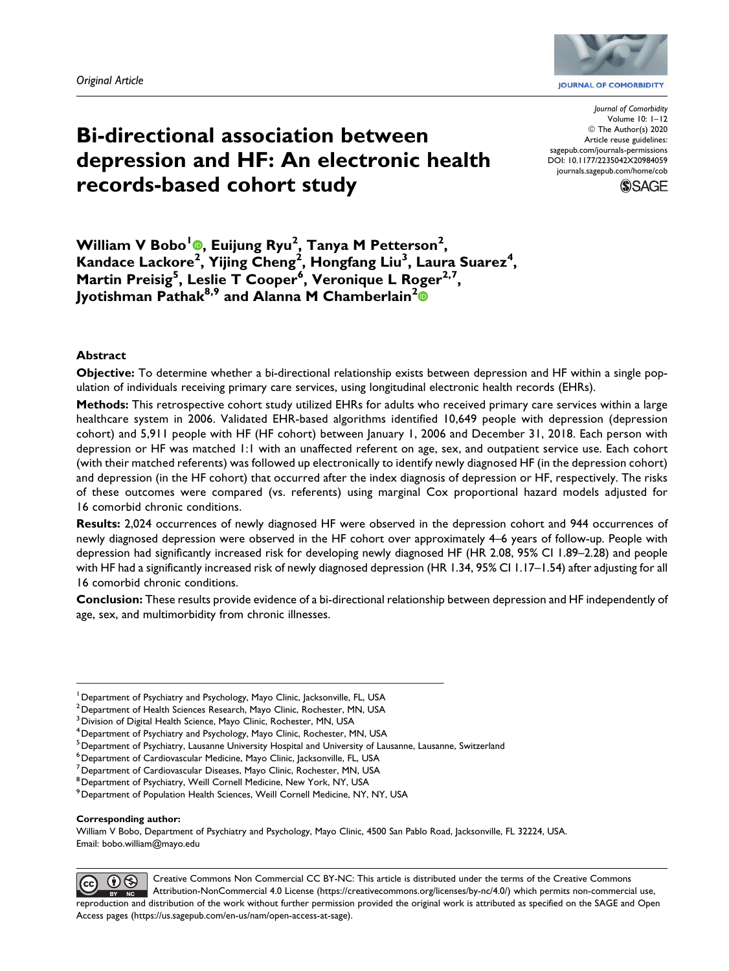

**JOURNAL OF COMORBIDITY** 

# **Bi-directional association between depression and HF: An electronic health records-based cohort study**

*Journal of Comorbidity* Volume 10: 1–12 © The Author(s) 2020 Article reuse guidelines: [sagepub.com/journals-permissions](https://sagepub.com/journals-permissions) [DOI: 10.1177/2235042X20984059](https://doi.org/10.1177/2235042X20984059) [journals.sagepub.com/home/cob](http://journals.sagepub.com/home/cob)



**William V Bobo1 [,](https://orcid.org/0000-0002-5674-3079) Euijung Ryu<sup>2</sup> , Tanya M Petterson<sup>2</sup> , Kandace Lackore2 , Yijing Cheng<sup>2</sup> , Hongfang Liu<sup>3</sup> , Laura Suarez<sup>4</sup> , Martin Preisig<sup>5</sup> , Leslie T Cooper<sup>6</sup> , Veronique L Roger2,7, Jyotishman Pathak8,9 and Alanna M Chamberlain<sup>2</sup>**

#### **Abstract**

**Objective:** To determine whether a bi-directional relationship exists between depression and HF within a single population of individuals receiving primary care services, using longitudinal electronic health records (EHRs).

**Methods:** This retrospective cohort study utilized EHRs for adults who received primary care services within a large healthcare system in 2006. Validated EHR-based algorithms identified 10,649 people with depression (depression cohort) and 5,911 people with HF (HF cohort) between January 1, 2006 and December 31, 2018. Each person with depression or HF was matched 1:1 with an unaffected referent on age, sex, and outpatient service use. Each cohort (with their matched referents) was followed up electronically to identify newly diagnosed HF (in the depression cohort) and depression (in the HF cohort) that occurred after the index diagnosis of depression or HF, respectively. The risks of these outcomes were compared (vs. referents) using marginal Cox proportional hazard models adjusted for 16 comorbid chronic conditions.

**Results:** 2,024 occurrences of newly diagnosed HF were observed in the depression cohort and 944 occurrences of newly diagnosed depression were observed in the HF cohort over approximately 4–6 years of follow-up. People with depression had significantly increased risk for developing newly diagnosed HF (HR 2.08, 95% CI 1.89–2.28) and people with HF had a significantly increased risk of newly diagnosed depression (HR 1.34, 95% CI 1.17–1.54) after adjusting for all 16 comorbid chronic conditions.

**Conclusion:** These results provide evidence of a bi-directional relationship between depression and HF independently of age, sex, and multimorbidity from chronic illnesses.

#### **Corresponding author:**

William V Bobo, Department of Psychiatry and Psychology, Mayo Clinic, 4500 San Pablo Road, Jacksonville, FL 32224, USA. Email: [bobo.william@mayo.edu](mailto:bobo.william@mayo.edu)



Creative Commons Non Commercial CC BY-NC: This article is distributed under the terms of the Creative Commons Attribution-NonCommercial 4.0 License ([https://creativecommons.org/licenses/by-nc/4.0/\)](https://creativecommons.org/licenses/by-nc/4.0/) which permits non-commercial use, reproduction and distribution of the work without further permission provided the original work is attributed as specified on the SAGE and Open Access pages (<https://us.sagepub.com/en-us/nam/open-access-at-sage>).

<sup>&</sup>lt;sup>1</sup> Department of Psychiatry and Psychology, Mayo Clinic, Jacksonville, FL, USA

 $^{\text{2}}$ Department of Health Sciences Research, Mayo Clinic, Rochester, MN, USA

<sup>&</sup>lt;sup>3</sup> Division of Digital Health Science, Mayo Clinic, Rochester, MN, USA

<sup>&</sup>lt;sup>4</sup> Department of Psychiatry and Psychology, Mayo Clinic, Rochester, MN, USA

 $^{\rm 5}$ Department of Psychiatry, Lausanne University Hospital and University of Lausanne, Lausanne, Switzerland

<sup>6</sup> Department of Cardiovascular Medicine, Mayo Clinic, Jacksonville, FL, USA

<sup>&</sup>lt;sup>7</sup> Department of Cardiovascular Diseases, Mayo Clinic, Rochester, MN, USA

<sup>8</sup>Department of Psychiatry, Weill Cornell Medicine, New York, NY, USA

 $^9$ Department of Population Health Sciences, Weill Cornell Medicine, NY, NY, USA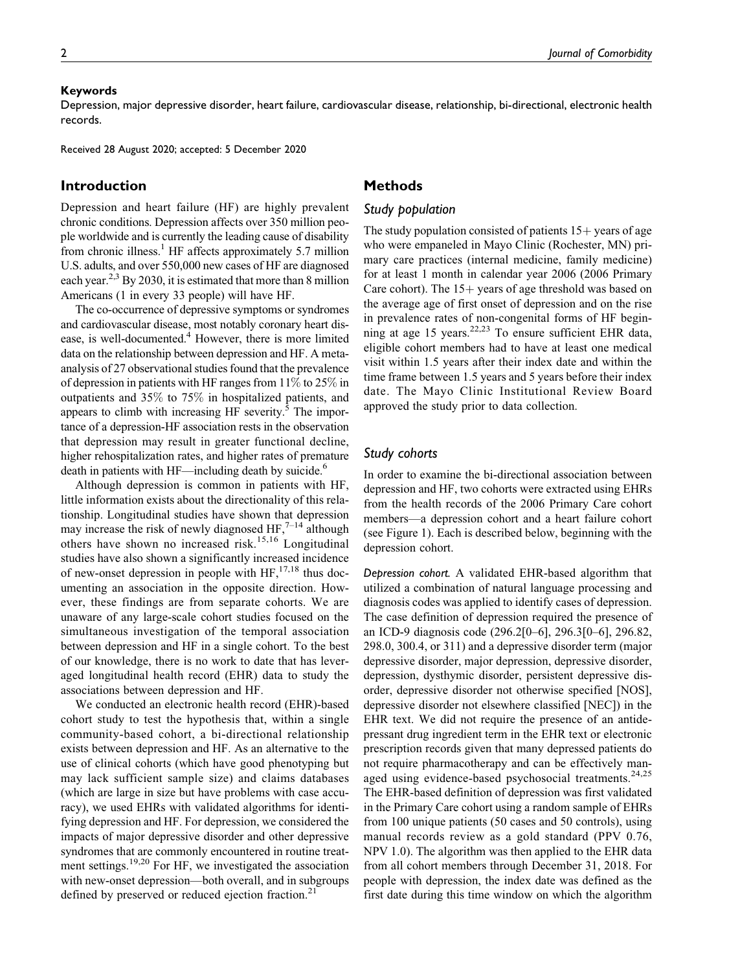#### **Keywords**

Depression, major depressive disorder, heart failure, cardiovascular disease, relationship, bi-directional, electronic health records.

Received 28 August 2020; accepted: 5 December 2020

# **Introduction**

Depression and heart failure (HF) are highly prevalent chronic conditions. Depression affects over 350 million people worldwide and is currently the leading cause of disability from chronic illness.<sup>1</sup> HF affects approximately 5.7 million U.S. adults, and over 550,000 new cases of HF are diagnosed each year.<sup>2,3</sup> By 2030, it is estimated that more than 8 million Americans (1 in every 33 people) will have HF.

The co-occurrence of depressive symptoms or syndromes and cardiovascular disease, most notably coronary heart disease, is well-documented.<sup>4</sup> However, there is more limited data on the relationship between depression and HF. A metaanalysis of 27 observational studies found that the prevalence of depression in patients with HF ranges from 11% to 25% in outpatients and 35% to 75% in hospitalized patients, and appears to climb with increasing HF severity. $5$  The importance of a depression-HF association rests in the observation that depression may result in greater functional decline, higher rehospitalization rates, and higher rates of premature death in patients with HF—including death by suicide.<sup>6</sup>

Although depression is common in patients with HF, little information exists about the directionality of this relationship. Longitudinal studies have shown that depression may increase the risk of newly diagnosed HF, $7-14$  although others have shown no increased risk.15,16 Longitudinal studies have also shown a significantly increased incidence of new-onset depression in people with  $HF$ ,  $^{17,18}$  thus documenting an association in the opposite direction. However, these findings are from separate cohorts. We are unaware of any large-scale cohort studies focused on the simultaneous investigation of the temporal association between depression and HF in a single cohort. To the best of our knowledge, there is no work to date that has leveraged longitudinal health record (EHR) data to study the associations between depression and HF.

We conducted an electronic health record (EHR)-based cohort study to test the hypothesis that, within a single community-based cohort, a bi-directional relationship exists between depression and HF. As an alternative to the use of clinical cohorts (which have good phenotyping but may lack sufficient sample size) and claims databases (which are large in size but have problems with case accuracy), we used EHRs with validated algorithms for identifying depression and HF. For depression, we considered the impacts of major depressive disorder and other depressive syndromes that are commonly encountered in routine treatment settings.<sup>19,20</sup> For HF, we investigated the association with new-onset depression—both overall, and in subgroups defined by preserved or reduced ejection fraction.<sup>21</sup>

# **Methods**

## *Study population*

The study population consisted of patients  $15 +$  years of age who were empaneled in Mayo Clinic (Rochester, MN) primary care practices (internal medicine, family medicine) for at least 1 month in calendar year 2006 (2006 Primary Care cohort). The  $15+$  years of age threshold was based on the average age of first onset of depression and on the rise in prevalence rates of non-congenital forms of HF beginning at age 15 years.<sup>22,23</sup> To ensure sufficient EHR data, eligible cohort members had to have at least one medical visit within 1.5 years after their index date and within the time frame between 1.5 years and 5 years before their index date. The Mayo Clinic Institutional Review Board approved the study prior to data collection.

# *Study cohorts*

In order to examine the bi-directional association between depression and HF, two cohorts were extracted using EHRs from the health records of the 2006 Primary Care cohort members—a depression cohort and a heart failure cohort (see Figure 1). Each is described below, beginning with the depression cohort.

*Depression cohort.* A validated EHR-based algorithm that utilized a combination of natural language processing and diagnosis codes was applied to identify cases of depression. The case definition of depression required the presence of an ICD-9 diagnosis code (296.2[0–6], 296.3[0–6], 296.82, 298.0, 300.4, or 311) and a depressive disorder term (major depressive disorder, major depression, depressive disorder, depression, dysthymic disorder, persistent depressive disorder, depressive disorder not otherwise specified [NOS], depressive disorder not elsewhere classified [NEC]) in the EHR text. We did not require the presence of an antidepressant drug ingredient term in the EHR text or electronic prescription records given that many depressed patients do not require pharmacotherapy and can be effectively managed using evidence-based psychosocial treatments.<sup>24,25</sup> The EHR-based definition of depression was first validated in the Primary Care cohort using a random sample of EHRs from 100 unique patients (50 cases and 50 controls), using manual records review as a gold standard (PPV 0.76, NPV 1.0). The algorithm was then applied to the EHR data from all cohort members through December 31, 2018. For people with depression, the index date was defined as the first date during this time window on which the algorithm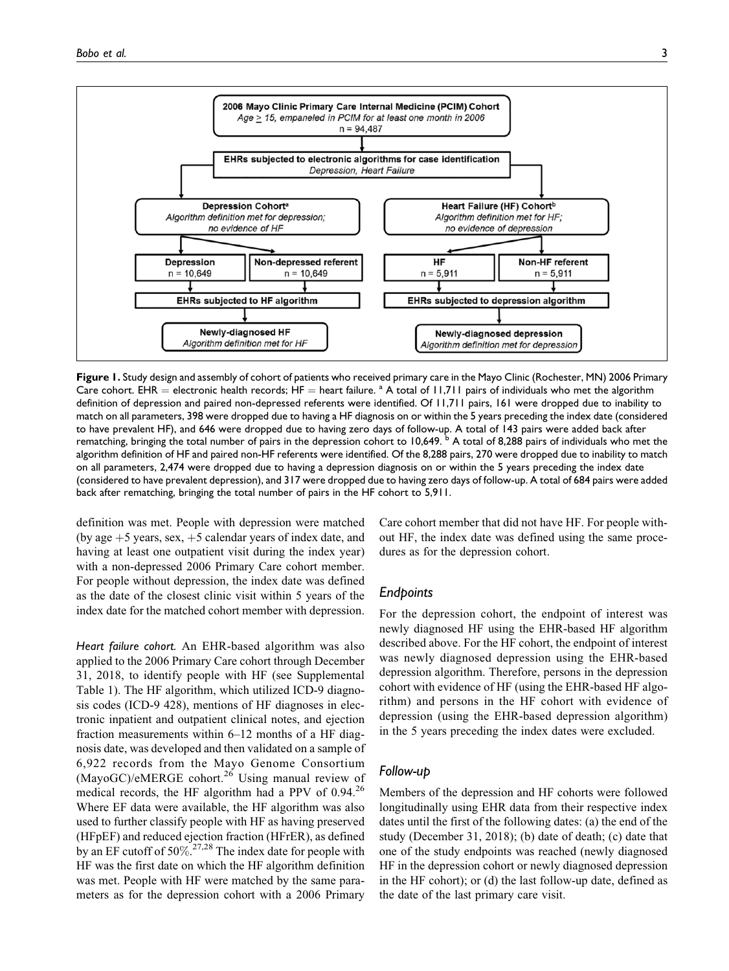

**Figure 1.** Study design and assembly of cohort of patients who received primary care in the Mayo Clinic (Rochester, MN) 2006 Primary Care cohort. EHR = electronic health records; HF = heart failure. <sup>a</sup> A total of 11,711 pairs of individuals who met the algorithm definition of depression and paired non-depressed referents were identified. Of 11,711 pairs, 161 were dropped due to inability to match on all parameters, 398 were dropped due to having a HF diagnosis on or within the 5 years preceding the index date (considered to have prevalent HF), and 646 were dropped due to having zero days of follow-up. A total of 143 pairs were added back after rematching, bringing the total number of pairs in the depression cohort to 10,649. <sup>b</sup> A total of 8,288 pairs of individuals who met the algorithm definition of HF and paired non-HF referents were identified. Of the 8,288 pairs, 270 were dropped due to inability to match on all parameters, 2,474 were dropped due to having a depression diagnosis on or within the 5 years preceding the index date (considered to have prevalent depression), and 317 were dropped due to having zero days of follow-up. A total of 684 pairs were added back after rematching, bringing the total number of pairs in the HF cohort to 5,911.

definition was met. People with depression were matched (by age  $+5$  years, sex,  $+5$  calendar years of index date, and having at least one outpatient visit during the index year) with a non-depressed 2006 Primary Care cohort member. For people without depression, the index date was defined as the date of the closest clinic visit within 5 years of the index date for the matched cohort member with depression.

*Heart failure cohort.* An EHR-based algorithm was also applied to the 2006 Primary Care cohort through December 31, 2018, to identify people with HF (see Supplemental Table 1). The HF algorithm, which utilized ICD-9 diagnosis codes (ICD-9 428), mentions of HF diagnoses in electronic inpatient and outpatient clinical notes, and ejection fraction measurements within 6–12 months of a HF diagnosis date, was developed and then validated on a sample of 6,922 records from the Mayo Genome Consortium (MayoGC)/eMERGE cohort.<sup>26</sup> Using manual review of medical records, the HF algorithm had a PPV of 0.94.<sup>26</sup> Where EF data were available, the HF algorithm was also used to further classify people with HF as having preserved (HFpEF) and reduced ejection fraction (HFrER), as defined by an EF cutoff of  $50\%$ <sup>27,28</sup> The index date for people with HF was the first date on which the HF algorithm definition was met. People with HF were matched by the same parameters as for the depression cohort with a 2006 Primary

Care cohort member that did not have HF. For people without HF, the index date was defined using the same procedures as for the depression cohort.

#### *Endpoints*

For the depression cohort, the endpoint of interest was newly diagnosed HF using the EHR-based HF algorithm described above. For the HF cohort, the endpoint of interest was newly diagnosed depression using the EHR-based depression algorithm. Therefore, persons in the depression cohort with evidence of HF (using the EHR-based HF algorithm) and persons in the HF cohort with evidence of depression (using the EHR-based depression algorithm) in the 5 years preceding the index dates were excluded.

### *Follow-up*

Members of the depression and HF cohorts were followed longitudinally using EHR data from their respective index dates until the first of the following dates: (a) the end of the study (December 31, 2018); (b) date of death; (c) date that one of the study endpoints was reached (newly diagnosed HF in the depression cohort or newly diagnosed depression in the HF cohort); or (d) the last follow-up date, defined as the date of the last primary care visit.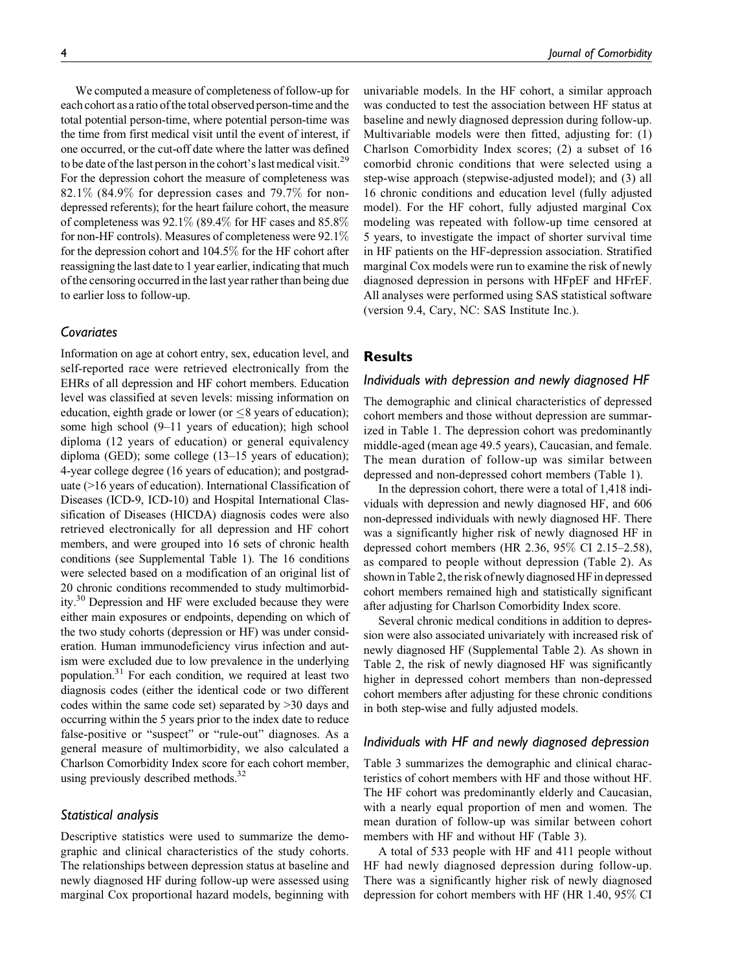We computed a measure of completeness of follow-up for each cohort as a ratio of the total observed person-time and the total potential person-time, where potential person-time was the time from first medical visit until the event of interest, if one occurred, or the cut-off date where the latter was defined to be date of the last person in the cohort's last medical visit.<sup>29</sup> For the depression cohort the measure of completeness was 82.1% (84.9% for depression cases and 79.7% for nondepressed referents); for the heart failure cohort, the measure of completeness was  $92.1\%$  (89.4% for HF cases and 85.8%) for non-HF controls). Measures of completeness were 92.1% for the depression cohort and 104.5% for the HF cohort after reassigning the last date to 1 year earlier, indicating that much of the censoring occurred in the last year rather than being due to earlier loss to follow-up.

# *Covariates*

Information on age at cohort entry, sex, education level, and self-reported race were retrieved electronically from the EHRs of all depression and HF cohort members. Education level was classified at seven levels: missing information on education, eighth grade or lower (or  $\leq$ 8 years of education); some high school (9–11 years of education); high school diploma (12 years of education) or general equivalency diploma (GED); some college (13–15 years of education); 4-year college degree (16 years of education); and postgraduate (>16 years of education). International Classification of Diseases (ICD-9, ICD-10) and Hospital International Classification of Diseases (HICDA) diagnosis codes were also retrieved electronically for all depression and HF cohort members, and were grouped into 16 sets of chronic health conditions (see Supplemental Table 1). The 16 conditions were selected based on a modification of an original list of 20 chronic conditions recommended to study multimorbidity.30 Depression and HF were excluded because they were either main exposures or endpoints, depending on which of the two study cohorts (depression or HF) was under consideration. Human immunodeficiency virus infection and autism were excluded due to low prevalence in the underlying population.31 For each condition, we required at least two diagnosis codes (either the identical code or two different codes within the same code set) separated by >30 days and occurring within the 5 years prior to the index date to reduce false-positive or "suspect" or "rule-out" diagnoses. As a general measure of multimorbidity, we also calculated a Charlson Comorbidity Index score for each cohort member, using previously described methods.<sup>32</sup>

## *Statistical analysis*

Descriptive statistics were used to summarize the demographic and clinical characteristics of the study cohorts. The relationships between depression status at baseline and newly diagnosed HF during follow-up were assessed using marginal Cox proportional hazard models, beginning with univariable models. In the HF cohort, a similar approach was conducted to test the association between HF status at baseline and newly diagnosed depression during follow-up. Multivariable models were then fitted, adjusting for: (1) Charlson Comorbidity Index scores; (2) a subset of 16 comorbid chronic conditions that were selected using a step-wise approach (stepwise-adjusted model); and (3) all 16 chronic conditions and education level (fully adjusted model). For the HF cohort, fully adjusted marginal Cox modeling was repeated with follow-up time censored at 5 years, to investigate the impact of shorter survival time in HF patients on the HF-depression association. Stratified marginal Cox models were run to examine the risk of newly diagnosed depression in persons with HFpEF and HFrEF. All analyses were performed using SAS statistical software (version 9.4, Cary, NC: SAS Institute Inc.).

# **Results**

# *Individuals with depression and newly diagnosed HF*

The demographic and clinical characteristics of depressed cohort members and those without depression are summarized in Table 1. The depression cohort was predominantly middle-aged (mean age 49.5 years), Caucasian, and female. The mean duration of follow-up was similar between depressed and non-depressed cohort members (Table 1).

In the depression cohort, there were a total of 1,418 individuals with depression and newly diagnosed HF, and 606 non-depressed individuals with newly diagnosed HF. There was a significantly higher risk of newly diagnosed HF in depressed cohort members (HR 2.36, 95% CI 2.15–2.58), as compared to people without depression (Table 2). As shown in Table 2, the risk of newly diagnosed HF in depressed cohort members remained high and statistically significant after adjusting for Charlson Comorbidity Index score.

Several chronic medical conditions in addition to depression were also associated univariately with increased risk of newly diagnosed HF (Supplemental Table 2). As shown in Table 2, the risk of newly diagnosed HF was significantly higher in depressed cohort members than non-depressed cohort members after adjusting for these chronic conditions in both step-wise and fully adjusted models.

## *Individuals with HF and newly diagnosed depression*

Table 3 summarizes the demographic and clinical characteristics of cohort members with HF and those without HF. The HF cohort was predominantly elderly and Caucasian, with a nearly equal proportion of men and women. The mean duration of follow-up was similar between cohort members with HF and without HF (Table 3).

A total of 533 people with HF and 411 people without HF had newly diagnosed depression during follow-up. There was a significantly higher risk of newly diagnosed depression for cohort members with HF (HR 1.40, 95% CI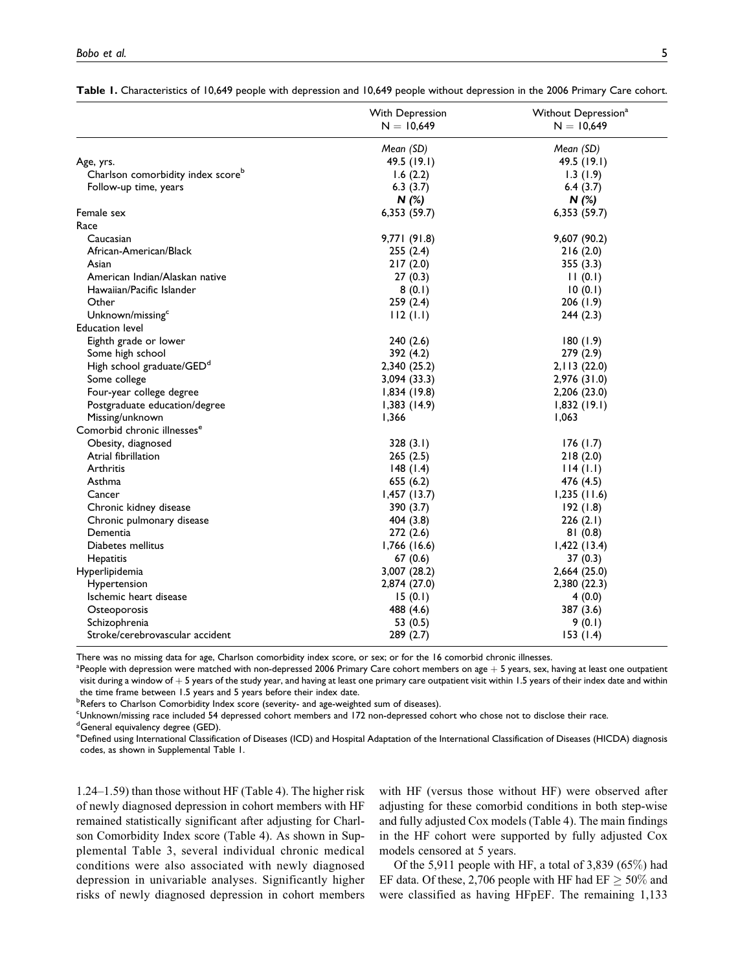**Table 1.** Characteristics of 10,649 people with depression and 10,649 people without depression in the 2006 Primary Care cohort.

|                                               | With Depression | Without Depression <sup>a</sup> |  |
|-----------------------------------------------|-----------------|---------------------------------|--|
|                                               | $N = 10,649$    | $N = 10,649$                    |  |
|                                               | Mean (SD)       | Mean (SD)                       |  |
| Age, yrs.                                     | 49.5 (19.1)     | 49.5 (19.1)                     |  |
| Charlson comorbidity index score <sup>b</sup> | 1.6(2.2)        | 1.3(1.9)                        |  |
| Follow-up time, years                         | 6.3(3.7)        | 6.4(3.7)                        |  |
|                                               | N(%)            | N (%)                           |  |
| Female sex                                    | 6,353(59.7)     | 6,353(59.7)                     |  |
| Race                                          |                 |                                 |  |
| Caucasian                                     | 9,771(91.8)     | 9,607 (90.2)                    |  |
| African-American/Black                        | 255(2.4)        | 216(2.0)                        |  |
| Asian                                         | 217(2.0)        | 355(3.3)                        |  |
| American Indian/Alaskan native                | 27(0.3)         | 11(0.1)                         |  |
| Hawaiian/Pacific Islander                     | 8(0.1)          | 10(0.1)                         |  |
| Other                                         | 259(2.4)        | 206(1.9)                        |  |
| Unknown/missing <sup>c</sup>                  | 112(1.1)        | 244(2.3)                        |  |
| <b>Education level</b>                        |                 |                                 |  |
| Eighth grade or lower                         | 240(2.6)        | 180(1.9)                        |  |
| Some high school                              | 392 (4.2)       | 279(2.9)                        |  |
| High school graduate/GED <sup>d</sup>         | 2,340 (25.2)    | 2,113(22.0)                     |  |
| Some college                                  | 3,094 (33.3)    | 2,976 (31.0)                    |  |
| Four-year college degree                      | 1,834(19.8)     | 2,206 (23.0)                    |  |
| Postgraduate education/degree                 | 1,383(14.9)     | 1,832(19.1)                     |  |
| Missing/unknown                               | 1,366           | 1,063                           |  |
| Comorbid chronic illnesses <sup>e</sup>       |                 |                                 |  |
| Obesity, diagnosed                            | 328(3.1)        | 176(1.7)                        |  |
| Atrial fibrillation                           | 265(2.5)        | 218(2.0)                        |  |
| <b>Arthritis</b>                              | 148(1.4)        | 114(1.1)                        |  |
| Asthma                                        | 655 (6.2)       | 476 (4.5)                       |  |
| Cancer                                        | 1,457(13.7)     | $1,235$ (11.6)                  |  |
| Chronic kidney disease                        | 390 (3.7)       | 192(1.8)                        |  |
| Chronic pulmonary disease                     | 404 (3.8)       | 226(2.1)                        |  |
| Dementia                                      | 272(2.6)        | 81(0.8)                         |  |
| Diabetes mellitus                             | 1,766(16.6)     | $1,422$ (13.4)                  |  |
| Hepatitis                                     | 67(0.6)         | 37 (0.3)                        |  |
| Hyperlipidemia                                | 3,007 (28.2)    | 2,664(25.0)                     |  |
| <b>Hypertension</b>                           | 2,874 (27.0)    | 2,380 (22.3)                    |  |
| Ischemic heart disease                        | 15(0.1)         | 4(0.0)                          |  |
| Osteoporosis                                  | 488 (4.6)       | 387 (3.6)                       |  |
| Schizophrenia                                 | 53 (0.5)        | 9(0.1)                          |  |
| Stroke/cerebrovascular accident               | 289 (2.7)       | 153(1.4)                        |  |

There was no missing data for age, Charlson comorbidity index score, or sex; or for the 16 comorbid chronic illnesses.

 $^{\rm a}$ People with depression were matched with non-depressed 2006 Primary Care cohort members on age  $+$  5 years, sex, having at least one outpatient visit during a window of + 5 years of the study year, and having at least one primary care outpatient visit within 1.5 years of their index date and within the time frame between 1.5 years and 5 years before their index date.

**<sup>b</sup>Refers to Charlson Comorbidity Index score (severity- and age-weighted sum of diseases)**.

c Unknown/missing race included 54 depressed cohort members and 172 non-depressed cohort who chose not to disclose their race.

dGeneral equivalency degree (GED).

e Defined using International Classification of Diseases (ICD) and Hospital Adaptation of the International Classification of Diseases (HICDA) diagnosis codes, as shown in Supplemental Table 1.

1.24–1.59) than those without HF (Table 4). The higher risk of newly diagnosed depression in cohort members with HF remained statistically significant after adjusting for Charlson Comorbidity Index score (Table 4). As shown in Supplemental Table 3, several individual chronic medical conditions were also associated with newly diagnosed depression in univariable analyses. Significantly higher risks of newly diagnosed depression in cohort members

with HF (versus those without HF) were observed after adjusting for these comorbid conditions in both step-wise and fully adjusted Cox models (Table 4). The main findings in the HF cohort were supported by fully adjusted Cox models censored at 5 years.

Of the 5,911 people with HF, a total of 3,839 (65%) had EF data. Of these, 2,706 people with HF had  $EF \ge 50\%$  and were classified as having HFpEF. The remaining 1,133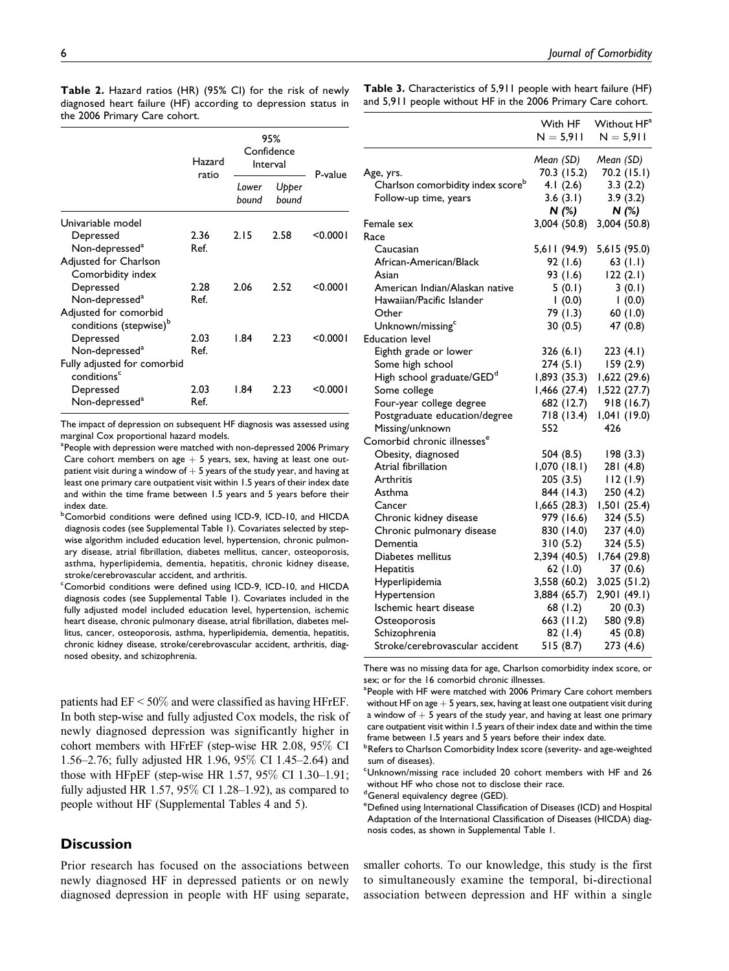| <b>Table 2.</b> Hazard ratios (HR) (95% CI) for the risk of newly |  |
|-------------------------------------------------------------------|--|
| diagnosed heart failure (HF) according to depression status in    |  |
| the 2006 Primary Care cohort.                                     |  |

**Table 3.** Characteristics of 5,911 people with heart failure (HF) and 5,911 people without HF in the 2006 Primary Care cohort.

|                                                             | Hazard<br>ratio | 95%<br>Confidence<br>Interval |                | P-value  |
|-------------------------------------------------------------|-----------------|-------------------------------|----------------|----------|
|                                                             |                 | Lower<br>bound                | Upper<br>bound |          |
| Univariable model                                           |                 |                               |                |          |
| Depressed                                                   | 2.36            | 2.15                          | 2.58           | < 0.0001 |
| Non-depressed <sup>a</sup>                                  | Ref.            |                               |                |          |
| Adjusted for Charlson                                       |                 |                               |                |          |
| Comorbidity index                                           |                 |                               |                |          |
| Depressed                                                   | 2.28            | 2.06                          | 2.52           | < 0.0001 |
| Non-depressed <sup>a</sup>                                  | Ref.            |                               |                |          |
| Adjusted for comorbid<br>conditions (stepwise) <sup>b</sup> |                 |                               |                |          |
| Depressed                                                   | 2.03            | 1.84                          | 2.23           | < 0.0001 |
| Non-depressed <sup>a</sup>                                  | Ref.            |                               |                |          |
| Fully adjusted for comorbid<br>conditions <sup>c</sup>      |                 |                               |                |          |
| Depressed                                                   | 2.03            | 1.84                          | 2.23           | < 0.0001 |
| Non-depressed <sup>a</sup>                                  | Ref.            |                               |                |          |

The impact of depression on subsequent HF diagnosis was assessed using marginal Cox proportional hazard models.

<sup>a</sup> People with depression were matched with non-depressed 2006 Primary Care cohort members on age  $+5$  years, sex, having at least one outpatient visit during a window of  $+5$  years of the study year, and having at least one primary care outpatient visit within 1.5 years of their index date and within the time frame between 1.5 years and 5 years before their index date.

<sup>b</sup> Comorbid conditions were defined using ICD-9, ICD-10, and HICDA diagnosis codes (see Supplemental Table 1). Covariates selected by stepwise algorithm included education level, hypertension, chronic pulmonary disease, atrial fibrillation, diabetes mellitus, cancer, osteoporosis, asthma, hyperlipidemia, dementia, hepatitis, chronic kidney disease, stroke/cerebrovascular accident, and arthritis.

<sup>c</sup>Comorbid conditions were defined using ICD-9, ICD-10, and HICDA diagnosis codes (see Supplemental Table 1). Covariates included in the fully adjusted model included education level, hypertension, ischemic heart disease, chronic pulmonary disease, atrial fibrillation, diabetes mellitus, cancer, osteoporosis, asthma, hyperlipidemia, dementia, hepatitis, chronic kidney disease, stroke/cerebrovascular accident, arthritis, diagnosed obesity, and schizophrenia.

patients had EF < 50% and were classified as having HFrEF. In both step-wise and fully adjusted Cox models, the risk of newly diagnosed depression was significantly higher in cohort members with HFrEF (step-wise HR 2.08, 95% CI 1.56–2.76; fully adjusted HR 1.96, 95% CI 1.45–2.64) and those with HFpEF (step-wise HR 1.57, 95% CI 1.30–1.91; fully adjusted HR 1.57, 95% CI 1.28–1.92), as compared to people without HF (Supplemental Tables 4 and 5).

#### **Discussion**

Prior research has focused on the associations between newly diagnosed HF in depressed patients or on newly diagnosed depression in people with HF using separate,

|                                               | With HF      | Without HF <sup>a</sup> |
|-----------------------------------------------|--------------|-------------------------|
|                                               | $N = 5,911$  | $N = 5,911$             |
|                                               | Mean (SD)    | Mean (SD)               |
| Age, yrs.                                     | 70.3 (15.2)  | 70.2 (15.1)             |
| Charlson comorbidity index score <sup>b</sup> | 4.1(2.6)     | 3.3(2.2)                |
| Follow-up time, years                         | 3.6(3.1)     | 3.9(3.2)                |
|                                               | N (%)        | N (%)                   |
| Female sex                                    | 3,004 (50.8) | 3,004 (50.8)            |
| Race                                          |              |                         |
| Caucasian                                     | 5,611 (94.9) | 5,615 (95.0)            |
| African-American/Black                        | 92 (1.6)     | 63 (I.I)                |
| Asian                                         | 93 (1.6)     | 122(2.1)                |
| American Indian/Alaskan native                | 5(0.1)       | 3(0.1)                  |
| Hawaiian/Pacific Islander                     | 1(0.0)       | 1(0.0)                  |
| Other                                         | 79 (1.3)     | 60(1.0)                 |
| Unknown/missing <sup>c</sup>                  | 30(0.5)      | 47 (0.8)                |
| <b>Education level</b>                        |              |                         |
| Eighth grade or lower                         | 326(6.1)     | 223(4.1)                |
| Some high school                              | 274(5.1)     | 159(2.9)                |
| High school graduate/GED <sup>d</sup>         | 1,893 (35.3) | 1,622 (29.6)            |
| Some college                                  | 1,466(27.4)  | 1,522 (27.7)            |
| Four-year college degree                      | 682 (12.7)   | 918 (16.7)              |
| Postgraduate education/degree                 | 718 (13.4)   | 1,041(19.0)             |
| Missing/unknown                               | 552          | 426                     |
| Comorbid chronic illnesses <sup>e</sup>       |              |                         |
| Obesity, diagnosed                            | 504(8.5)     | 198(3.3)                |
| Atrial fibrillation                           | 1,070 (18.1) | 281 (4.8)               |
| Arthritis                                     | 205(3.5)     | 112(1.9)                |
| Asthma                                        | 844 (14.3)   | 250 (4.2)               |
| Cancer                                        | 1,665(28.3)  | 1,501 (25.4)            |
| Chronic kidney disease                        | 979 (16.6)   | 324 (5.5)               |
| Chronic pulmonary disease                     | 830 (14.0)   | 237 (4.0)               |
| Dementia                                      | 310(5.2)     | 324 (5.5)               |
| Diabetes mellitus                             | 2,394 (40.5) | 1,764 (29.8)            |
| Hepatitis                                     | 62 (1.0)     | 37 (0.6)                |
| Hyperlipidemia                                | 3,558 (60.2) | 3,025 (51.2)            |
| Hypertension                                  | 3,884 (65.7) | 2,901 (49.1)            |
| Ischemic heart disease                        | 68 (1.2)     | 20(0.3)                 |
| Osteoporosis                                  | 663 (11.2)   | 580 (9.8)               |
| Schizophrenia                                 | 82 (1.4)     | 45 (0.8)                |
| Stroke/cerebrovascular accident               | 515(8.7)     | 273 (4.6)               |

There was no missing data for age, Charlson comorbidity index score, or sex; or for the 16 comorbid chronic illnesses.

<sup>a</sup> People with HF were matched with 2006 Primary Care cohort members without HF on age  $+5$  years, sex, having at least one outpatient visit during a window of  $+5$  years of the study year, and having at least one primary care outpatient visit within 1.5 years of their index date and within the time frame between 1.5 years and 5 years before their index date.

**bRefers to Charlson Comorbidity Index score (severity- and age-weighted** sum of diseases).

c Unknown/missing race included 20 cohort members with HF and 26 without HF who chose not to disclose their race.

<sup>d</sup>General equivalency degree (GED).

<sup>e</sup> Defined using International Classification of Diseases (ICD) and Hospital Adaptation of the International Classification of Diseases (HICDA) diagnosis codes, as shown in Supplemental Table 1.

smaller cohorts. To our knowledge, this study is the first to simultaneously examine the temporal, bi-directional association between depression and HF within a single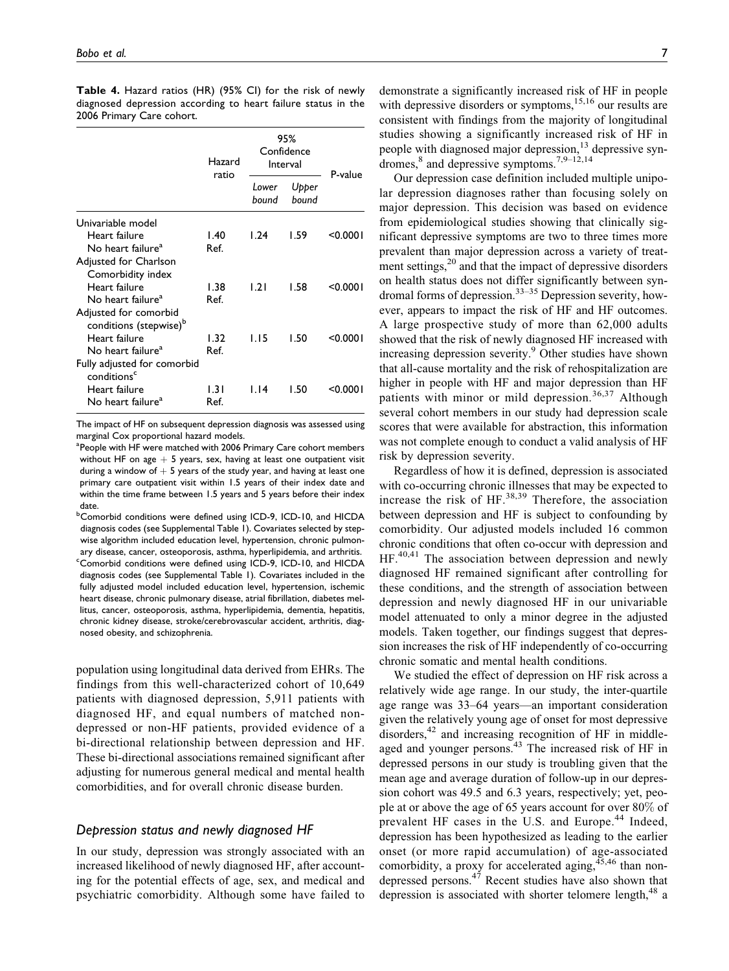|                                                             | Hazard<br>ratio | 95%<br>Confidence<br>Interval |                | P-value  |
|-------------------------------------------------------------|-----------------|-------------------------------|----------------|----------|
|                                                             |                 | Lower<br>bound                | Upper<br>hound |          |
| Univariable model                                           |                 |                               |                |          |
| Heart failure                                               | 1.40            | 1.24                          | 1.59           | < 0.0001 |
| No heart failure <sup>a</sup>                               | Ref.            |                               |                |          |
| Adjusted for Charlson                                       |                 |                               |                |          |
| Comorbidity index                                           |                 |                               |                |          |
| Heart failure                                               | 1.38            | 1.21                          | 1.58           | < 0.0001 |
| No heart failure <sup>a</sup>                               | Ref.            |                               |                |          |
| Adjusted for comorbid<br>conditions (stepwise) <sup>b</sup> |                 |                               |                |          |
| Heart failure                                               | 1.32            | 1.15                          | 1.50           | < 0.0001 |
| No heart failure <sup>a</sup>                               | Ref.            |                               |                |          |
| Fully adjusted for comorbid<br>conditions <sup>c</sup>      |                 |                               |                |          |
| Heart failure                                               | 1.31            | l 14                          | 1.50           | < 0.0001 |
| No heart failure <sup>a</sup>                               | Ref.            |                               |                |          |

**Table 4.** Hazard ratios (HR) (95% CI) for the risk of newly diagnosed depression according to heart failure status in the 2006 Primary Care cohort.

The impact of HF on subsequent depression diagnosis was assessed using marginal Cox proportional hazard models.

<sup>a</sup> People with HF were matched with 2006 Primary Care cohort members without HF on age  $+$  5 years, sex, having at least one outpatient visit during a window of  $+5$  years of the study year, and having at least one primary care outpatient visit within 1.5 years of their index date and within the time frame between 1.5 years and 5 years before their index date.

<sup>b</sup>Comorbid conditions were defined using ICD-9, ICD-10, and HICDA diagnosis codes (see Supplemental Table 1). Covariates selected by stepwise algorithm included education level, hypertension, chronic pulmonary disease, cancer, osteoporosis, asthma, hyperlipidemia, and arthritis. <sup>c</sup>Comorbid conditions were defined using ICD-9, ICD-10, and HICDA diagnosis codes (see Supplemental Table 1). Covariates included in the fully adjusted model included education level, hypertension, ischemic heart disease, chronic pulmonary disease, atrial fibrillation, diabetes mellitus, cancer, osteoporosis, asthma, hyperlipidemia, dementia, hepatitis, chronic kidney disease, stroke/cerebrovascular accident, arthritis, diagnosed obesity, and schizophrenia.

population using longitudinal data derived from EHRs. The findings from this well-characterized cohort of 10,649 patients with diagnosed depression, 5,911 patients with diagnosed HF, and equal numbers of matched nondepressed or non-HF patients, provided evidence of a bi-directional relationship between depression and HF. These bi-directional associations remained significant after adjusting for numerous general medical and mental health comorbidities, and for overall chronic disease burden.

#### *Depression status and newly diagnosed HF*

In our study, depression was strongly associated with an increased likelihood of newly diagnosed HF, after accounting for the potential effects of age, sex, and medical and psychiatric comorbidity. Although some have failed to demonstrate a significantly increased risk of HF in people with depressive disorders or symptoms, $15,16$  our results are consistent with findings from the majority of longitudinal studies showing a significantly increased risk of HF in people with diagnosed major depression,<sup>13</sup> depressive syndromes,<sup>8</sup> and depressive symptoms.<sup>7,9–12,14</sup>

Our depression case definition included multiple unipolar depression diagnoses rather than focusing solely on major depression. This decision was based on evidence from epidemiological studies showing that clinically significant depressive symptoms are two to three times more prevalent than major depression across a variety of treatment settings,<sup>20</sup> and that the impact of depressive disorders on health status does not differ significantly between syndromal forms of depression.<sup>33–35</sup> Depression severity, however, appears to impact the risk of HF and HF outcomes. A large prospective study of more than 62,000 adults showed that the risk of newly diagnosed HF increased with increasing depression severity.<sup>9</sup> Other studies have shown that all-cause mortality and the risk of rehospitalization are higher in people with HF and major depression than HF patients with minor or mild depression.<sup>36,37</sup> Although several cohort members in our study had depression scale scores that were available for abstraction, this information was not complete enough to conduct a valid analysis of HF risk by depression severity.

Regardless of how it is defined, depression is associated with co-occurring chronic illnesses that may be expected to increase the risk of HF. $^{38,39}$  Therefore, the association between depression and HF is subject to confounding by comorbidity. Our adjusted models included 16 common chronic conditions that often co-occur with depression and  $HF<sup>40,41</sup>$  The association between depression and newly diagnosed HF remained significant after controlling for these conditions, and the strength of association between depression and newly diagnosed HF in our univariable model attenuated to only a minor degree in the adjusted models. Taken together, our findings suggest that depression increases the risk of HF independently of co-occurring chronic somatic and mental health conditions.

We studied the effect of depression on HF risk across a relatively wide age range. In our study, the inter-quartile age range was 33–64 years—an important consideration given the relatively young age of onset for most depressive disorders,<sup>42</sup> and increasing recognition of HF in middleaged and younger persons.<sup>43</sup> The increased risk of HF in depressed persons in our study is troubling given that the mean age and average duration of follow-up in our depression cohort was 49.5 and 6.3 years, respectively; yet, people at or above the age of 65 years account for over 80% of prevalent HF cases in the U.S. and Europe.<sup>44</sup> Indeed, depression has been hypothesized as leading to the earlier onset (or more rapid accumulation) of age-associated comorbidity, a proxy for accelerated aging,  $45,46$  than nondepressed persons.<sup>47</sup> Recent studies have also shown that depression is associated with shorter telomere length,<sup>48</sup> a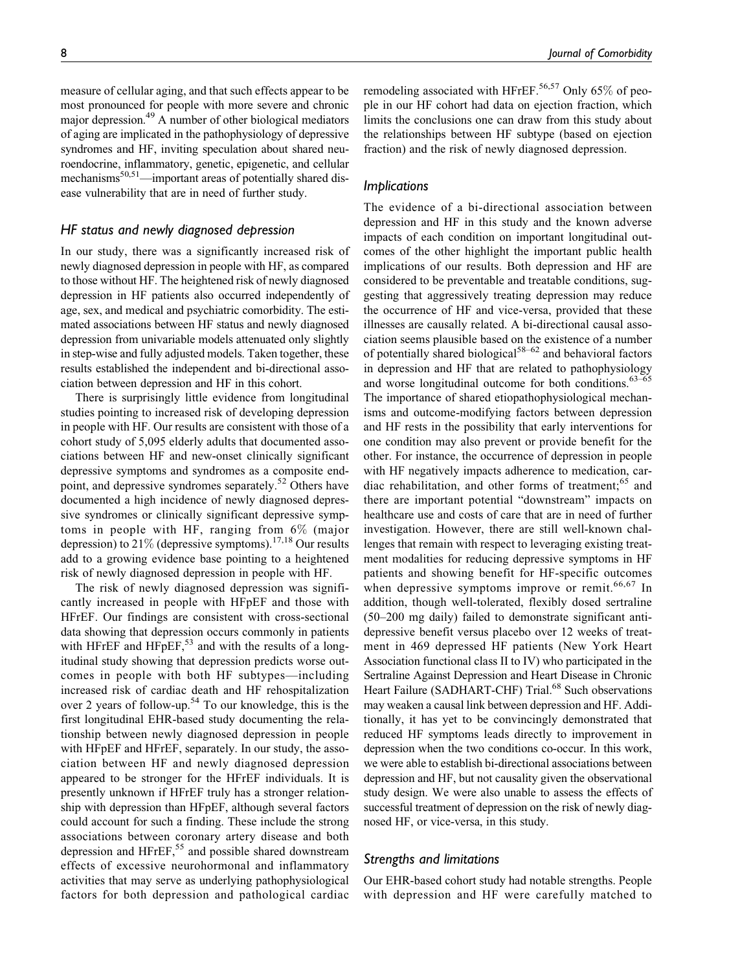measure of cellular aging, and that such effects appear to be most pronounced for people with more severe and chronic major depression.49 A number of other biological mediators of aging are implicated in the pathophysiology of depressive syndromes and HF, inviting speculation about shared neuroendocrine, inflammatory, genetic, epigenetic, and cellular mechanisms<sup>50,51</sup>—important areas of potentially shared disease vulnerability that are in need of further study.

# *HF status and newly diagnosed depression*

In our study, there was a significantly increased risk of newly diagnosed depression in people with HF, as compared to those without HF. The heightened risk of newly diagnosed depression in HF patients also occurred independently of age, sex, and medical and psychiatric comorbidity. The estimated associations between HF status and newly diagnosed depression from univariable models attenuated only slightly in step-wise and fully adjusted models. Taken together, these results established the independent and bi-directional association between depression and HF in this cohort.

There is surprisingly little evidence from longitudinal studies pointing to increased risk of developing depression in people with HF. Our results are consistent with those of a cohort study of 5,095 elderly adults that documented associations between HF and new-onset clinically significant depressive symptoms and syndromes as a composite endpoint, and depressive syndromes separately.<sup>52</sup> Others have documented a high incidence of newly diagnosed depressive syndromes or clinically significant depressive symptoms in people with HF, ranging from 6% (major depression) to  $21\%$  (depressive symptoms).<sup>17,18</sup> Our results add to a growing evidence base pointing to a heightened risk of newly diagnosed depression in people with HF.

The risk of newly diagnosed depression was significantly increased in people with HFpEF and those with HFrEF. Our findings are consistent with cross-sectional data showing that depression occurs commonly in patients with HFrEF and HFpEF, $53$  and with the results of a longitudinal study showing that depression predicts worse outcomes in people with both HF subtypes—including increased risk of cardiac death and HF rehospitalization over 2 years of follow-up.<sup>54</sup> To our knowledge, this is the first longitudinal EHR-based study documenting the relationship between newly diagnosed depression in people with HFpEF and HFrEF, separately. In our study, the association between HF and newly diagnosed depression appeared to be stronger for the HFrEF individuals. It is presently unknown if HFrEF truly has a stronger relationship with depression than HFpEF, although several factors could account for such a finding. These include the strong associations between coronary artery disease and both depression and  $H$ FrEF,<sup>55</sup> and possible shared downstream effects of excessive neurohormonal and inflammatory activities that may serve as underlying pathophysiological factors for both depression and pathological cardiac remodeling associated with HFrEF.<sup>56,57</sup> Only 65 $\%$  of people in our HF cohort had data on ejection fraction, which limits the conclusions one can draw from this study about the relationships between HF subtype (based on ejection fraction) and the risk of newly diagnosed depression.

# *Implications*

The evidence of a bi-directional association between depression and HF in this study and the known adverse impacts of each condition on important longitudinal outcomes of the other highlight the important public health implications of our results. Both depression and HF are considered to be preventable and treatable conditions, suggesting that aggressively treating depression may reduce the occurrence of HF and vice-versa, provided that these illnesses are causally related. A bi-directional causal association seems plausible based on the existence of a number of potentially shared biological<sup>58–62</sup> and behavioral factors in depression and HF that are related to pathophysiology and worse longitudinal outcome for both conditions. $63-65$ The importance of shared etiopathophysiological mechanisms and outcome-modifying factors between depression and HF rests in the possibility that early interventions for one condition may also prevent or provide benefit for the other. For instance, the occurrence of depression in people with HF negatively impacts adherence to medication, cardiac rehabilitation, and other forms of treatment; $65$  and there are important potential "downstream" impacts on healthcare use and costs of care that are in need of further investigation. However, there are still well-known challenges that remain with respect to leveraging existing treatment modalities for reducing depressive symptoms in HF patients and showing benefit for HF-specific outcomes when depressive symptoms improve or remit.<sup>66,67</sup> In addition, though well-tolerated, flexibly dosed sertraline (50–200 mg daily) failed to demonstrate significant antidepressive benefit versus placebo over 12 weeks of treatment in 469 depressed HF patients (New York Heart Association functional class II to IV) who participated in the Sertraline Against Depression and Heart Disease in Chronic Heart Failure (SADHART-CHF) Trial.<sup>68</sup> Such observations may weaken a causal link between depression and HF. Additionally, it has yet to be convincingly demonstrated that reduced HF symptoms leads directly to improvement in depression when the two conditions co-occur. In this work, we were able to establish bi-directional associations between depression and HF, but not causality given the observational study design. We were also unable to assess the effects of successful treatment of depression on the risk of newly diagnosed HF, or vice-versa, in this study.

## *Strengths and limitations*

Our EHR-based cohort study had notable strengths. People with depression and HF were carefully matched to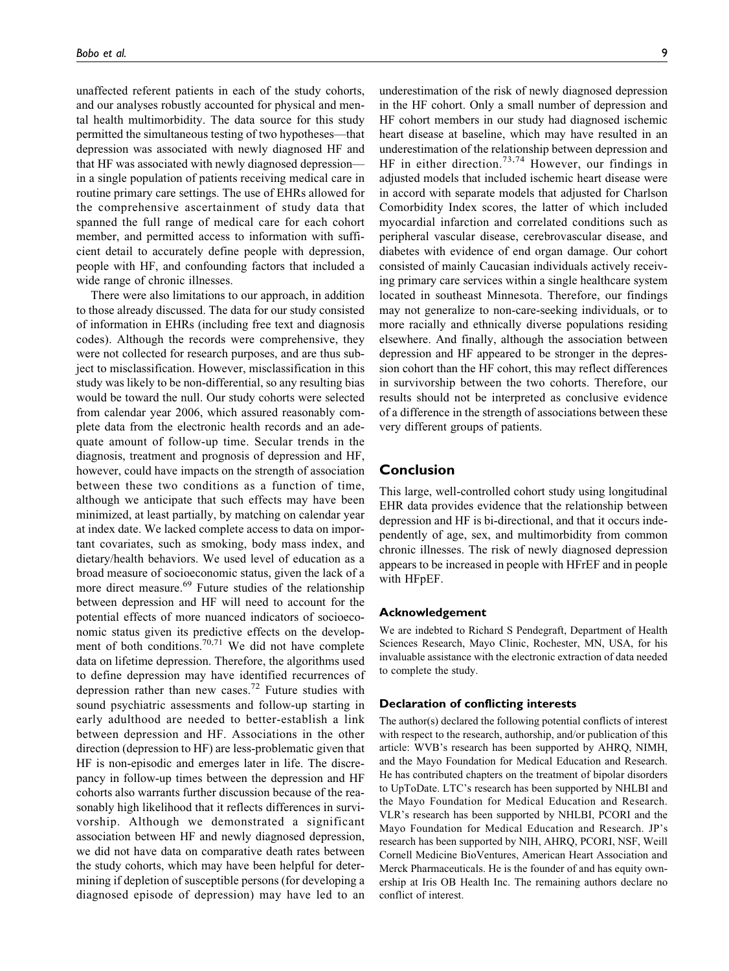unaffected referent patients in each of the study cohorts, and our analyses robustly accounted for physical and mental health multimorbidity. The data source for this study permitted the simultaneous testing of two hypotheses—that depression was associated with newly diagnosed HF and that HF was associated with newly diagnosed depression in a single population of patients receiving medical care in routine primary care settings. The use of EHRs allowed for the comprehensive ascertainment of study data that spanned the full range of medical care for each cohort member, and permitted access to information with sufficient detail to accurately define people with depression, people with HF, and confounding factors that included a wide range of chronic illnesses.

There were also limitations to our approach, in addition to those already discussed. The data for our study consisted of information in EHRs (including free text and diagnosis codes). Although the records were comprehensive, they were not collected for research purposes, and are thus subject to misclassification. However, misclassification in this study was likely to be non-differential, so any resulting bias would be toward the null. Our study cohorts were selected from calendar year 2006, which assured reasonably complete data from the electronic health records and an adequate amount of follow-up time. Secular trends in the diagnosis, treatment and prognosis of depression and HF, however, could have impacts on the strength of association between these two conditions as a function of time, although we anticipate that such effects may have been minimized, at least partially, by matching on calendar year at index date. We lacked complete access to data on important covariates, such as smoking, body mass index, and dietary/health behaviors. We used level of education as a broad measure of socioeconomic status, given the lack of a more direct measure.<sup>69</sup> Future studies of the relationship between depression and HF will need to account for the potential effects of more nuanced indicators of socioeconomic status given its predictive effects on the development of both conditions.<sup>70,71</sup> We did not have complete data on lifetime depression. Therefore, the algorithms used to define depression may have identified recurrences of depression rather than new cases.<sup>72</sup> Future studies with sound psychiatric assessments and follow-up starting in early adulthood are needed to better-establish a link between depression and HF. Associations in the other direction (depression to HF) are less-problematic given that HF is non-episodic and emerges later in life. The discrepancy in follow-up times between the depression and HF cohorts also warrants further discussion because of the reasonably high likelihood that it reflects differences in survivorship. Although we demonstrated a significant association between HF and newly diagnosed depression, we did not have data on comparative death rates between the study cohorts, which may have been helpful for determining if depletion of susceptible persons (for developing a diagnosed episode of depression) may have led to an

underestimation of the risk of newly diagnosed depression in the HF cohort. Only a small number of depression and HF cohort members in our study had diagnosed ischemic heart disease at baseline, which may have resulted in an underestimation of the relationship between depression and HF in either direction.<sup>73,74</sup> However, our findings in adjusted models that included ischemic heart disease were in accord with separate models that adjusted for Charlson Comorbidity Index scores, the latter of which included myocardial infarction and correlated conditions such as peripheral vascular disease, cerebrovascular disease, and diabetes with evidence of end organ damage. Our cohort consisted of mainly Caucasian individuals actively receiving primary care services within a single healthcare system located in southeast Minnesota. Therefore, our findings may not generalize to non-care-seeking individuals, or to more racially and ethnically diverse populations residing elsewhere. And finally, although the association between depression and HF appeared to be stronger in the depression cohort than the HF cohort, this may reflect differences in survivorship between the two cohorts. Therefore, our results should not be interpreted as conclusive evidence of a difference in the strength of associations between these very different groups of patients.

# **Conclusion**

This large, well-controlled cohort study using longitudinal EHR data provides evidence that the relationship between depression and HF is bi-directional, and that it occurs independently of age, sex, and multimorbidity from common chronic illnesses. The risk of newly diagnosed depression appears to be increased in people with HFrEF and in people with HFpEF.

#### **Acknowledgement**

We are indebted to Richard S Pendegraft, Department of Health Sciences Research, Mayo Clinic, Rochester, MN, USA, for his invaluable assistance with the electronic extraction of data needed to complete the study.

#### **Declaration of conflicting interests**

The author(s) declared the following potential conflicts of interest with respect to the research, authorship, and/or publication of this article: WVB's research has been supported by AHRQ, NIMH, and the Mayo Foundation for Medical Education and Research. He has contributed chapters on the treatment of bipolar disorders to UpToDate. LTC's research has been supported by NHLBI and the Mayo Foundation for Medical Education and Research. VLR's research has been supported by NHLBI, PCORI and the Mayo Foundation for Medical Education and Research. JP's research has been supported by NIH, AHRQ, PCORI, NSF, Weill Cornell Medicine BioVentures, American Heart Association and Merck Pharmaceuticals. He is the founder of and has equity ownership at Iris OB Health Inc. The remaining authors declare no conflict of interest.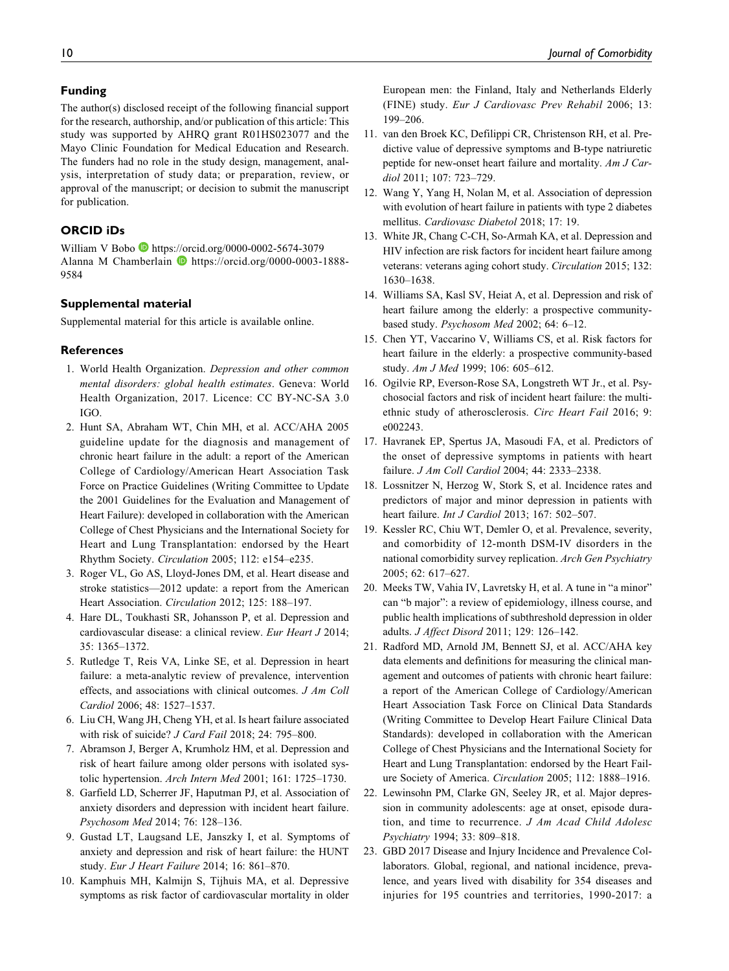## **Funding**

The author(s) disclosed receipt of the following financial support for the research, authorship, and/or publication of this article: This study was supported by AHRQ grant R01HS023077 and the Mayo Clinic Foundation for Medical Education and Research. The funders had no role in the study design, management, analysis, interpretation of study data; or preparation, review, or approval of the manuscript; or decision to submit the manuscript for publication.

## **ORCID iDs**

William V Bobo <https://orcid.org/0000-0002-5674-3079> Alanna M Chamberlain **[https://orcid.org/0000-0003-1888-](https://orcid.org/0000-0003-1888-9584)** [9584](https://orcid.org/0000-0003-1888-9584)

#### **Supplemental material**

Supplemental material for this article is available online.

#### **References**

- 1. World Health Organization. Depression and other common mental disorders: global health estimates. Geneva: World Health Organization, 2017. Licence: CC BY-NC-SA 3.0 IGO.
- 2. Hunt SA, Abraham WT, Chin MH, et al. ACC/AHA 2005 guideline update for the diagnosis and management of chronic heart failure in the adult: a report of the American College of Cardiology/American Heart Association Task Force on Practice Guidelines (Writing Committee to Update the 2001 Guidelines for the Evaluation and Management of Heart Failure): developed in collaboration with the American College of Chest Physicians and the International Society for Heart and Lung Transplantation: endorsed by the Heart Rhythm Society. Circulation 2005; 112: e154–e235.
- 3. Roger VL, Go AS, Lloyd-Jones DM, et al. Heart disease and stroke statistics—2012 update: a report from the American Heart Association. Circulation 2012; 125: 188–197.
- 4. Hare DL, Toukhasti SR, Johansson P, et al. Depression and cardiovascular disease: a clinical review. Eur Heart J 2014; 35: 1365–1372.
- 5. Rutledge T, Reis VA, Linke SE, et al. Depression in heart failure: a meta-analytic review of prevalence, intervention effects, and associations with clinical outcomes. J Am Coll Cardiol 2006; 48: 1527–1537.
- 6. Liu CH, Wang JH, Cheng YH, et al. Is heart failure associated with risk of suicide? J Card Fail 2018; 24: 795–800.
- 7. Abramson J, Berger A, Krumholz HM, et al. Depression and risk of heart failure among older persons with isolated systolic hypertension. Arch Intern Med 2001; 161: 1725–1730.
- 8. Garfield LD, Scherrer JF, Haputman PJ, et al. Association of anxiety disorders and depression with incident heart failure. Psychosom Med 2014; 76: 128–136.
- 9. Gustad LT, Laugsand LE, Janszky I, et al. Symptoms of anxiety and depression and risk of heart failure: the HUNT study. Eur J Heart Failure 2014; 16: 861–870.
- 10. Kamphuis MH, Kalmijn S, Tijhuis MA, et al. Depressive symptoms as risk factor of cardiovascular mortality in older

European men: the Finland, Italy and Netherlands Elderly (FINE) study. Eur J Cardiovasc Prev Rehabil 2006; 13: 199–206.

- 11. van den Broek KC, Defilippi CR, Christenson RH, et al. Predictive value of depressive symptoms and B-type natriuretic peptide for new-onset heart failure and mortality. Am J Cardiol 2011; 107: 723–729.
- 12. Wang Y, Yang H, Nolan M, et al. Association of depression with evolution of heart failure in patients with type 2 diabetes mellitus. Cardiovasc Diabetol 2018; 17: 19.
- 13. White JR, Chang C-CH, So-Armah KA, et al. Depression and HIV infection are risk factors for incident heart failure among veterans: veterans aging cohort study. Circulation 2015; 132: 1630–1638.
- 14. Williams SA, Kasl SV, Heiat A, et al. Depression and risk of heart failure among the elderly: a prospective communitybased study. Psychosom Med 2002; 64: 6–12.
- 15. Chen YT, Vaccarino V, Williams CS, et al. Risk factors for heart failure in the elderly: a prospective community-based study. Am J Med 1999; 106: 605–612.
- 16. Ogilvie RP, Everson-Rose SA, Longstreth WT Jr., et al. Psychosocial factors and risk of incident heart failure: the multiethnic study of atherosclerosis. Circ Heart Fail 2016; 9: e002243.
- 17. Havranek EP, Spertus JA, Masoudi FA, et al. Predictors of the onset of depressive symptoms in patients with heart failure. J Am Coll Cardiol 2004; 44: 2333–2338.
- 18. Lossnitzer N, Herzog W, Stork S, et al. Incidence rates and predictors of major and minor depression in patients with heart failure. Int J Cardiol 2013; 167: 502–507.
- 19. Kessler RC, Chiu WT, Demler O, et al. Prevalence, severity, and comorbidity of 12-month DSM-IV disorders in the national comorbidity survey replication. Arch Gen Psychiatry 2005; 62: 617–627.
- 20. Meeks TW, Vahia IV, Lavretsky H, et al. A tune in "a minor" can "b major": a review of epidemiology, illness course, and public health implications of subthreshold depression in older adults. J Affect Disord 2011; 129: 126–142.
- 21. Radford MD, Arnold JM, Bennett SJ, et al. ACC/AHA key data elements and definitions for measuring the clinical management and outcomes of patients with chronic heart failure: a report of the American College of Cardiology/American Heart Association Task Force on Clinical Data Standards (Writing Committee to Develop Heart Failure Clinical Data Standards): developed in collaboration with the American College of Chest Physicians and the International Society for Heart and Lung Transplantation: endorsed by the Heart Failure Society of America. Circulation 2005; 112: 1888–1916.
- 22. Lewinsohn PM, Clarke GN, Seeley JR, et al. Major depression in community adolescents: age at onset, episode duration, and time to recurrence. J Am Acad Child Adolesc Psychiatry 1994; 33: 809–818.
- 23. GBD 2017 Disease and Injury Incidence and Prevalence Collaborators. Global, regional, and national incidence, prevalence, and years lived with disability for 354 diseases and injuries for 195 countries and territories, 1990-2017: a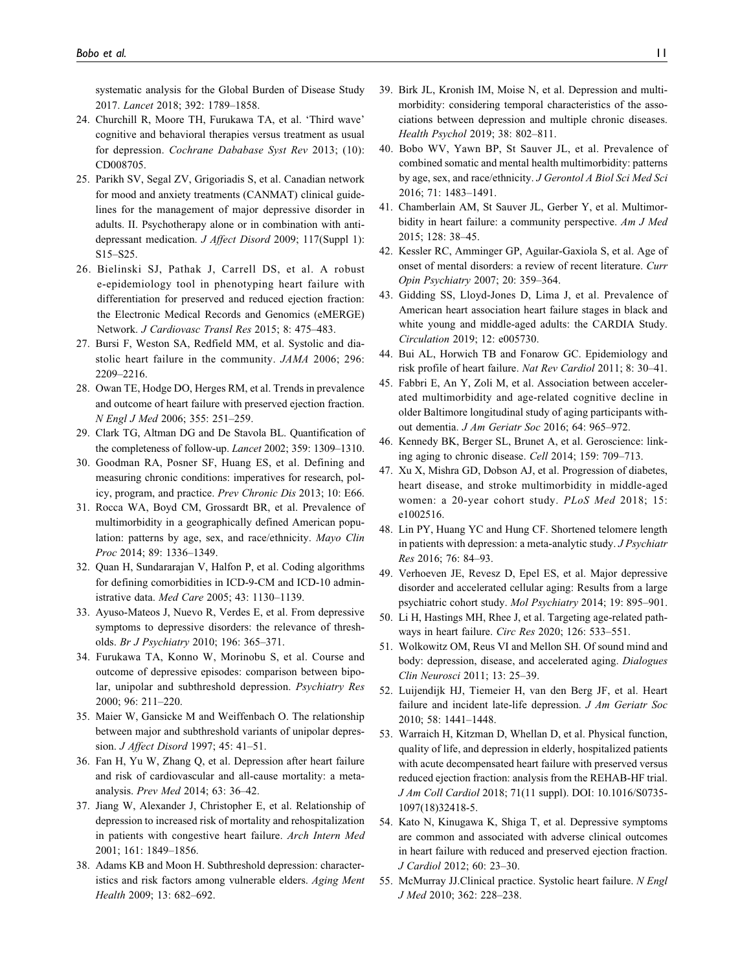systematic analysis for the Global Burden of Disease Study 2017. Lancet 2018; 392: 1789–1858.

- 24. Churchill R, Moore TH, Furukawa TA, et al. 'Third wave' cognitive and behavioral therapies versus treatment as usual for depression. Cochrane Dababase Syst Rev 2013; (10): CD008705.
- 25. Parikh SV, Segal ZV, Grigoriadis S, et al. Canadian network for mood and anxiety treatments (CANMAT) clinical guidelines for the management of major depressive disorder in adults. II. Psychotherapy alone or in combination with antidepressant medication. J Affect Disord 2009; 117(Suppl 1): S15–S25.
- 26. Bielinski SJ, Pathak J, Carrell DS, et al. A robust e-epidemiology tool in phenotyping heart failure with differentiation for preserved and reduced ejection fraction: the Electronic Medical Records and Genomics (eMERGE) Network. J Cardiovasc Transl Res 2015; 8: 475–483.
- 27. Bursi F, Weston SA, Redfield MM, et al. Systolic and diastolic heart failure in the community. JAMA 2006; 296: 2209–2216.
- 28. Owan TE, Hodge DO, Herges RM, et al. Trends in prevalence and outcome of heart failure with preserved ejection fraction. N Engl J Med 2006; 355: 251–259.
- 29. Clark TG, Altman DG and De Stavola BL. Quantification of the completeness of follow-up. Lancet 2002; 359: 1309–1310.
- 30. Goodman RA, Posner SF, Huang ES, et al. Defining and measuring chronic conditions: imperatives for research, policy, program, and practice. Prev Chronic Dis 2013; 10: E66.
- 31. Rocca WA, Boyd CM, Grossardt BR, et al. Prevalence of multimorbidity in a geographically defined American population: patterns by age, sex, and race/ethnicity. Mayo Clin Proc 2014; 89: 1336–1349.
- 32. Quan H, Sundararajan V, Halfon P, et al. Coding algorithms for defining comorbidities in ICD-9-CM and ICD-10 administrative data. Med Care 2005; 43: 1130–1139.
- 33. Ayuso-Mateos J, Nuevo R, Verdes E, et al. From depressive symptoms to depressive disorders: the relevance of thresholds. Br J Psychiatry 2010; 196: 365–371.
- 34. Furukawa TA, Konno W, Morinobu S, et al. Course and outcome of depressive episodes: comparison between bipolar, unipolar and subthreshold depression. Psychiatry Res 2000; 96: 211–220.
- 35. Maier W, Gansicke M and Weiffenbach O. The relationship between major and subthreshold variants of unipolar depression. J Affect Disord 1997; 45: 41–51.
- 36. Fan H, Yu W, Zhang Q, et al. Depression after heart failure and risk of cardiovascular and all-cause mortality: a metaanalysis. Prev Med 2014; 63: 36–42.
- 37. Jiang W, Alexander J, Christopher E, et al. Relationship of depression to increased risk of mortality and rehospitalization in patients with congestive heart failure. Arch Intern Med 2001; 161: 1849–1856.
- 38. Adams KB and Moon H. Subthreshold depression: characteristics and risk factors among vulnerable elders. Aging Ment Health 2009; 13: 682–692.
- 39. Birk JL, Kronish IM, Moise N, et al. Depression and multimorbidity: considering temporal characteristics of the associations between depression and multiple chronic diseases. Health Psychol 2019; 38: 802–811.
- 40. Bobo WV, Yawn BP, St Sauver JL, et al. Prevalence of combined somatic and mental health multimorbidity: patterns by age, sex, and race/ethnicity. J Gerontol A Biol Sci Med Sci 2016; 71: 1483–1491.
- 41. Chamberlain AM, St Sauver JL, Gerber Y, et al. Multimorbidity in heart failure: a community perspective. Am J Med 2015; 128: 38–45.
- 42. Kessler RC, Amminger GP, Aguilar-Gaxiola S, et al. Age of onset of mental disorders: a review of recent literature. Curr Opin Psychiatry 2007; 20: 359–364.
- 43. Gidding SS, Lloyd-Jones D, Lima J, et al. Prevalence of American heart association heart failure stages in black and white young and middle-aged adults: the CARDIA Study. Circulation 2019; 12: e005730.
- 44. Bui AL, Horwich TB and Fonarow GC. Epidemiology and risk profile of heart failure. Nat Rev Cardiol 2011; 8: 30–41.
- 45. Fabbri E, An Y, Zoli M, et al. Association between accelerated multimorbidity and age-related cognitive decline in older Baltimore longitudinal study of aging participants without dementia. J Am Geriatr Soc 2016; 64: 965–972.
- 46. Kennedy BK, Berger SL, Brunet A, et al. Geroscience: linking aging to chronic disease. Cell 2014; 159: 709–713.
- 47. Xu X, Mishra GD, Dobson AJ, et al. Progression of diabetes, heart disease, and stroke multimorbidity in middle-aged women: a 20-year cohort study. PLoS Med 2018; 15: e1002516.
- 48. Lin PY, Huang YC and Hung CF. Shortened telomere length in patients with depression: a meta-analytic study. *J Psychiatr* Res 2016; 76: 84–93.
- 49. Verhoeven JE, Revesz D, Epel ES, et al. Major depressive disorder and accelerated cellular aging: Results from a large psychiatric cohort study. Mol Psychiatry 2014; 19: 895–901.
- 50. Li H, Hastings MH, Rhee J, et al. Targeting age-related pathways in heart failure. Circ Res 2020; 126: 533–551.
- 51. Wolkowitz OM, Reus VI and Mellon SH. Of sound mind and body: depression, disease, and accelerated aging. Dialogues Clin Neurosci 2011; 13: 25–39.
- 52. Luijendijk HJ, Tiemeier H, van den Berg JF, et al. Heart failure and incident late-life depression. J Am Geriatr Soc 2010; 58: 1441–1448.
- 53. Warraich H, Kitzman D, Whellan D, et al. Physical function, quality of life, and depression in elderly, hospitalized patients with acute decompensated heart failure with preserved versus reduced ejection fraction: analysis from the REHAB-HF trial. J Am Coll Cardiol 2018; 71(11 suppl). DOI: 10.1016/S0735- 1097(18)32418-5.
- 54. Kato N, Kinugawa K, Shiga T, et al. Depressive symptoms are common and associated with adverse clinical outcomes in heart failure with reduced and preserved ejection fraction. J Cardiol 2012; 60: 23–30.
- 55. McMurray JJ.Clinical practice. Systolic heart failure. N Engl J Med 2010; 362: 228–238.